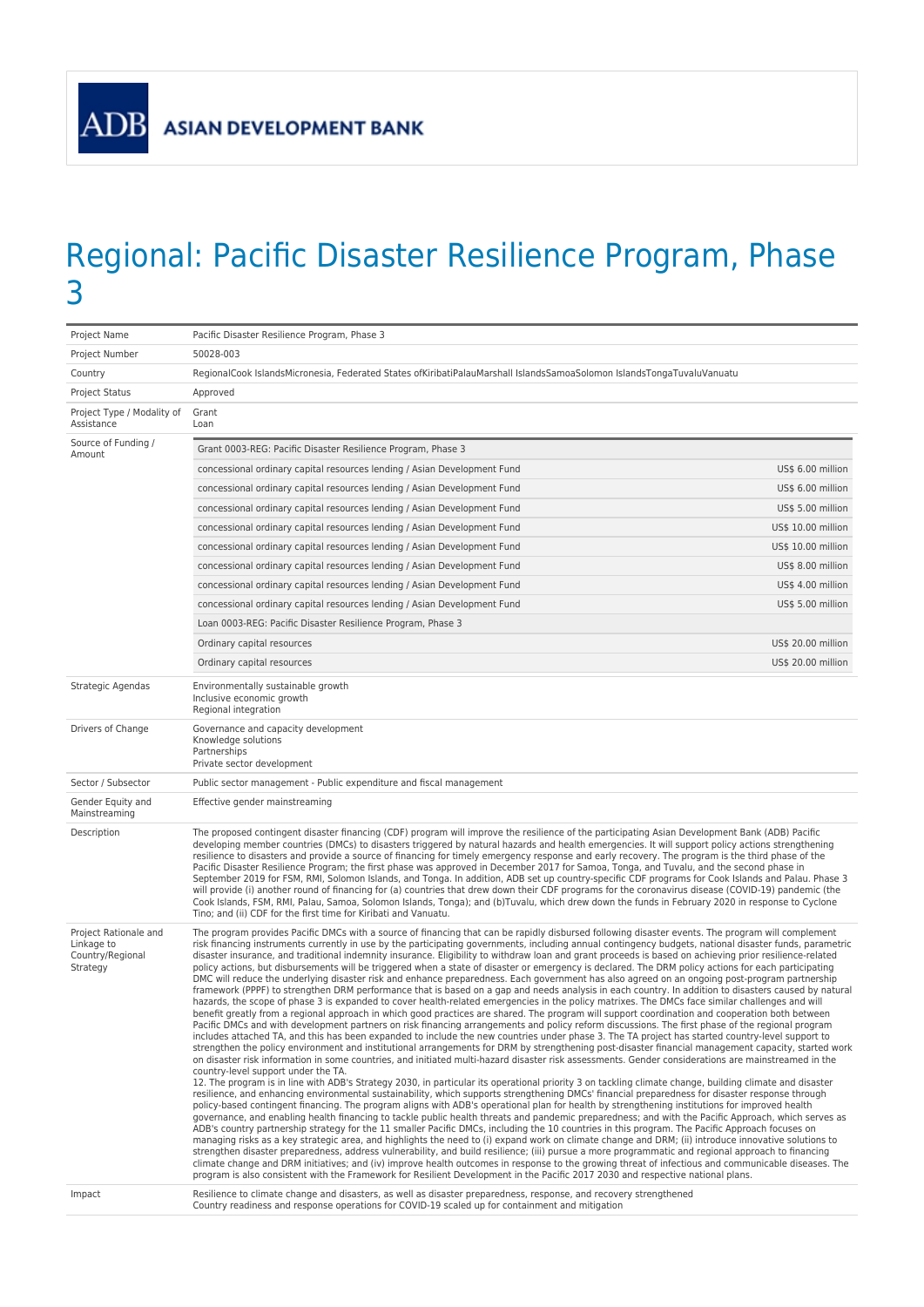

## Regional: Pacific Disaster Resilience Program, Phase 3

| 50028-003<br>Project Number<br>RegionalCook IslandsMicronesia, Federated States ofKiribatiPalauMarshall IslandsSamoaSolomon IslandsTongaTuvaluVanuatu<br>Country<br><b>Project Status</b><br>Approved<br>Grant<br>Project Type / Modality of<br>Assistance<br>Loan<br>Source of Funding /<br>Grant 0003-REG: Pacific Disaster Resilience Program, Phase 3<br>Amount<br>concessional ordinary capital resources lending / Asian Development Fund<br>US\$ 6.00 million<br>US\$ 6.00 million<br>concessional ordinary capital resources lending / Asian Development Fund<br>concessional ordinary capital resources lending / Asian Development Fund<br>US\$ 5.00 million<br>concessional ordinary capital resources lending / Asian Development Fund<br>US\$ 10.00 million<br>concessional ordinary capital resources lending / Asian Development Fund<br>US\$ 10.00 million<br>concessional ordinary capital resources lending / Asian Development Fund<br>US\$ 8.00 million<br>concessional ordinary capital resources lending / Asian Development Fund<br>US\$ 4.00 million<br>concessional ordinary capital resources lending / Asian Development Fund<br>US\$ 5.00 million<br>Loan 0003-REG: Pacific Disaster Resilience Program, Phase 3<br>Ordinary capital resources<br>US\$ 20.00 million<br>Ordinary capital resources<br>US\$ 20.00 million<br>Strategic Agendas<br>Environmentally sustainable growth<br>Inclusive economic growth<br>Regional integration<br>Drivers of Change<br>Governance and capacity development<br>Knowledge solutions<br>Partnerships<br>Private sector development<br>Sector / Subsector<br>Public sector management - Public expenditure and fiscal management<br>Gender Equity and<br>Effective gender mainstreaming<br>Mainstreaming<br>Description<br>The proposed contingent disaster financing (CDF) program will improve the resilience of the participating Asian Development Bank (ADB) Pacific<br>developing member countries (DMCs) to disasters triggered by natural hazards and health emergencies. It will support policy actions strengthening<br>resilience to disasters and provide a source of financing for timely emergency response and early recovery. The program is the third phase of the<br>Pacific Disaster Resilience Program; the first phase was approved in December 2017 for Samoa, Tonga, and Tuvalu, and the second phase in<br>September 2019 for FSM, RMI, Solomon Islands, and Tonga. In addition, ADB set up country-specific CDF programs for Cook Islands and Palau. Phase 3<br>will provide (i) another round of financing for (a) countries that drew down their CDF programs for the coronavirus disease (COVID-19) pandemic (the<br>Cook Islands, FSM, RMI, Palau, Samoa, Solomon Islands, Tonga); and (b)Tuvalu, which drew down the funds in February 2020 in response to Cyclone<br>Tino; and (ii) CDF for the first time for Kiribati and Vanuatu.<br>Project Rationale and<br>The program provides Pacific DMCs with a source of financing that can be rapidly disbursed following disaster events. The program will complement<br>Linkage to<br>risk financing instruments currently in use by the participating governments, including annual contingency budgets, national disaster funds, parametric<br>disaster insurance, and traditional indemnity insurance. Eligibility to withdraw loan and grant proceeds is based on achieving prior resilience-related<br>Country/Regional<br>policy actions, but disbursements will be triggered when a state of disaster or emergency is declared. The DRM policy actions for each participating<br>Strategy<br>DMC will reduce the underlying disaster risk and enhance preparedness. Each government has also agreed on an ongoing post-program partnership<br>framework (PPPF) to strengthen DRM performance that is based on a gap and needs analysis in each country. In addition to disasters caused by natural<br>hazards, the scope of phase 3 is expanded to cover health-related emergencies in the policy matrixes. The DMCs face similar challenges and will<br>benefit greatly from a regional approach in which good practices are shared. The program will support coordination and cooperation both between<br>Pacific DMCs and with development partners on risk financing arrangements and policy reform discussions. The first phase of the regional program<br>includes attached TA, and this has been expanded to include the new countries under phase 3. The TA project has started country-level support to<br>strengthen the policy environment and institutional arrangements for DRM by strengthening post-disaster financial management capacity, started work<br>on disaster risk information in some countries, and initiated multi-hazard disaster risk assessments. Gender considerations are mainstreamed in the<br>country-level support under the TA.<br>12. The program is in line with ADB's Strategy 2030, in particular its operational priority 3 on tackling climate change, building climate and disaster<br>resilience, and enhancing environmental sustainability, which supports strengthening DMCs' financial preparedness for disaster response through<br>policy-based contingent financing. The program aligns with ADB's operational plan for health by strengthening institutions for improved health<br>governance, and enabling health financing to tackle public health threats and pandemic preparedness; and with the Pacific Approach, which serves as<br>ADB's country partnership strategy for the 11 smaller Pacific DMCs, including the 10 countries in this program. The Pacific Approach focuses on<br>managing risks as a key strategic area, and highlights the need to (i) expand work on climate change and DRM; (ii) introduce innovative solutions to<br>strengthen disaster preparedness, address vulnerability, and build resilience; (iii) pursue a more programmatic and regional approach to financing<br>climate change and DRM initiatives; and (iv) improve health outcomes in response to the growing threat of infectious and communicable diseases. The<br>program is also consistent with the Framework for Resilient Development in the Pacific 2017 2030 and respective national plans.<br>Resilience to climate change and disasters, as well as disaster preparedness, response, and recovery strengthened<br>Impact<br>Country readiness and response operations for COVID-19 scaled up for containment and mitigation | Project Name | Pacific Disaster Resilience Program, Phase 3 |  |
|-------------------------------------------------------------------------------------------------------------------------------------------------------------------------------------------------------------------------------------------------------------------------------------------------------------------------------------------------------------------------------------------------------------------------------------------------------------------------------------------------------------------------------------------------------------------------------------------------------------------------------------------------------------------------------------------------------------------------------------------------------------------------------------------------------------------------------------------------------------------------------------------------------------------------------------------------------------------------------------------------------------------------------------------------------------------------------------------------------------------------------------------------------------------------------------------------------------------------------------------------------------------------------------------------------------------------------------------------------------------------------------------------------------------------------------------------------------------------------------------------------------------------------------------------------------------------------------------------------------------------------------------------------------------------------------------------------------------------------------------------------------------------------------------------------------------------------------------------------------------------------------------------------------------------------------------------------------------------------------------------------------------------------------------------------------------------------------------------------------------------------------------------------------------------------------------------------------------------------------------------------------------------------------------------------------------------------------------------------------------------------------------------------------------------------------------------------------------------------------------------------------------------------------------------------------------------------------------------------------------------------------------------------------------------------------------------------------------------------------------------------------------------------------------------------------------------------------------------------------------------------------------------------------------------------------------------------------------------------------------------------------------------------------------------------------------------------------------------------------------------------------------------------------------------------------------------------------------------------------------------------------------------------------------------------------------------------------------------------------------------------------------------------------------------------------------------------------------------------------------------------------------------------------------------------------------------------------------------------------------------------------------------------------------------------------------------------------------------------------------------------------------------------------------------------------------------------------------------------------------------------------------------------------------------------------------------------------------------------------------------------------------------------------------------------------------------------------------------------------------------------------------------------------------------------------------------------------------------------------------------------------------------------------------------------------------------------------------------------------------------------------------------------------------------------------------------------------------------------------------------------------------------------------------------------------------------------------------------------------------------------------------------------------------------------------------------------------------------------------------------------------------------------------------------------------------------------------------------------------------------------------------------------------------------------------------------------------------------------------------------------------------------------------------------------------------------------------------------------------------------------------------------------------------------------------------------------------------------------------------------------------------------------------------------------------------------------------------------------------------------------------------------------------------------------------------------------------------------------------------------------------------------------------------------------------------------------------------------------------------------------------------------------------------------------------------------------------------------------------------------------------------------------------------------------------------------------------------------------------------------------------------------------------------------------------------------------------------------------------------------------------------------------------------------------------------------------------------------------------------------------------------------------------------------------------------------------------------------------------------------------------------------------------------------------------------------------------------------------------------------------------------------------------------------------------------------------------------------------------------------------------------------------------------------|--------------|----------------------------------------------|--|
|                                                                                                                                                                                                                                                                                                                                                                                                                                                                                                                                                                                                                                                                                                                                                                                                                                                                                                                                                                                                                                                                                                                                                                                                                                                                                                                                                                                                                                                                                                                                                                                                                                                                                                                                                                                                                                                                                                                                                                                                                                                                                                                                                                                                                                                                                                                                                                                                                                                                                                                                                                                                                                                                                                                                                                                                                                                                                                                                                                                                                                                                                                                                                                                                                                                                                                                                                                                                                                                                                                                                                                                                                                                                                                                                                                                                                                                                                                                                                                                                                                                                                                                                                                                                                                                                                                                                                                                                                                                                                                                                                                                                                                                                                                                                                                                                                                                                                                                                                                                                                                                                                                                                                                                                                                                                                                                                                                                                                                                                                                                                                                                                                                                                                                                                                                                                                                                                                                                                                                                                                                                                                                                                                                                                                                                                                                                                                                                                                                                                                                                                                 |              |                                              |  |
|                                                                                                                                                                                                                                                                                                                                                                                                                                                                                                                                                                                                                                                                                                                                                                                                                                                                                                                                                                                                                                                                                                                                                                                                                                                                                                                                                                                                                                                                                                                                                                                                                                                                                                                                                                                                                                                                                                                                                                                                                                                                                                                                                                                                                                                                                                                                                                                                                                                                                                                                                                                                                                                                                                                                                                                                                                                                                                                                                                                                                                                                                                                                                                                                                                                                                                                                                                                                                                                                                                                                                                                                                                                                                                                                                                                                                                                                                                                                                                                                                                                                                                                                                                                                                                                                                                                                                                                                                                                                                                                                                                                                                                                                                                                                                                                                                                                                                                                                                                                                                                                                                                                                                                                                                                                                                                                                                                                                                                                                                                                                                                                                                                                                                                                                                                                                                                                                                                                                                                                                                                                                                                                                                                                                                                                                                                                                                                                                                                                                                                                                                 |              |                                              |  |
|                                                                                                                                                                                                                                                                                                                                                                                                                                                                                                                                                                                                                                                                                                                                                                                                                                                                                                                                                                                                                                                                                                                                                                                                                                                                                                                                                                                                                                                                                                                                                                                                                                                                                                                                                                                                                                                                                                                                                                                                                                                                                                                                                                                                                                                                                                                                                                                                                                                                                                                                                                                                                                                                                                                                                                                                                                                                                                                                                                                                                                                                                                                                                                                                                                                                                                                                                                                                                                                                                                                                                                                                                                                                                                                                                                                                                                                                                                                                                                                                                                                                                                                                                                                                                                                                                                                                                                                                                                                                                                                                                                                                                                                                                                                                                                                                                                                                                                                                                                                                                                                                                                                                                                                                                                                                                                                                                                                                                                                                                                                                                                                                                                                                                                                                                                                                                                                                                                                                                                                                                                                                                                                                                                                                                                                                                                                                                                                                                                                                                                                                                 |              |                                              |  |
|                                                                                                                                                                                                                                                                                                                                                                                                                                                                                                                                                                                                                                                                                                                                                                                                                                                                                                                                                                                                                                                                                                                                                                                                                                                                                                                                                                                                                                                                                                                                                                                                                                                                                                                                                                                                                                                                                                                                                                                                                                                                                                                                                                                                                                                                                                                                                                                                                                                                                                                                                                                                                                                                                                                                                                                                                                                                                                                                                                                                                                                                                                                                                                                                                                                                                                                                                                                                                                                                                                                                                                                                                                                                                                                                                                                                                                                                                                                                                                                                                                                                                                                                                                                                                                                                                                                                                                                                                                                                                                                                                                                                                                                                                                                                                                                                                                                                                                                                                                                                                                                                                                                                                                                                                                                                                                                                                                                                                                                                                                                                                                                                                                                                                                                                                                                                                                                                                                                                                                                                                                                                                                                                                                                                                                                                                                                                                                                                                                                                                                                                                 |              |                                              |  |
|                                                                                                                                                                                                                                                                                                                                                                                                                                                                                                                                                                                                                                                                                                                                                                                                                                                                                                                                                                                                                                                                                                                                                                                                                                                                                                                                                                                                                                                                                                                                                                                                                                                                                                                                                                                                                                                                                                                                                                                                                                                                                                                                                                                                                                                                                                                                                                                                                                                                                                                                                                                                                                                                                                                                                                                                                                                                                                                                                                                                                                                                                                                                                                                                                                                                                                                                                                                                                                                                                                                                                                                                                                                                                                                                                                                                                                                                                                                                                                                                                                                                                                                                                                                                                                                                                                                                                                                                                                                                                                                                                                                                                                                                                                                                                                                                                                                                                                                                                                                                                                                                                                                                                                                                                                                                                                                                                                                                                                                                                                                                                                                                                                                                                                                                                                                                                                                                                                                                                                                                                                                                                                                                                                                                                                                                                                                                                                                                                                                                                                                                                 |              |                                              |  |
|                                                                                                                                                                                                                                                                                                                                                                                                                                                                                                                                                                                                                                                                                                                                                                                                                                                                                                                                                                                                                                                                                                                                                                                                                                                                                                                                                                                                                                                                                                                                                                                                                                                                                                                                                                                                                                                                                                                                                                                                                                                                                                                                                                                                                                                                                                                                                                                                                                                                                                                                                                                                                                                                                                                                                                                                                                                                                                                                                                                                                                                                                                                                                                                                                                                                                                                                                                                                                                                                                                                                                                                                                                                                                                                                                                                                                                                                                                                                                                                                                                                                                                                                                                                                                                                                                                                                                                                                                                                                                                                                                                                                                                                                                                                                                                                                                                                                                                                                                                                                                                                                                                                                                                                                                                                                                                                                                                                                                                                                                                                                                                                                                                                                                                                                                                                                                                                                                                                                                                                                                                                                                                                                                                                                                                                                                                                                                                                                                                                                                                                                                 |              |                                              |  |
|                                                                                                                                                                                                                                                                                                                                                                                                                                                                                                                                                                                                                                                                                                                                                                                                                                                                                                                                                                                                                                                                                                                                                                                                                                                                                                                                                                                                                                                                                                                                                                                                                                                                                                                                                                                                                                                                                                                                                                                                                                                                                                                                                                                                                                                                                                                                                                                                                                                                                                                                                                                                                                                                                                                                                                                                                                                                                                                                                                                                                                                                                                                                                                                                                                                                                                                                                                                                                                                                                                                                                                                                                                                                                                                                                                                                                                                                                                                                                                                                                                                                                                                                                                                                                                                                                                                                                                                                                                                                                                                                                                                                                                                                                                                                                                                                                                                                                                                                                                                                                                                                                                                                                                                                                                                                                                                                                                                                                                                                                                                                                                                                                                                                                                                                                                                                                                                                                                                                                                                                                                                                                                                                                                                                                                                                                                                                                                                                                                                                                                                                                 |              |                                              |  |
|                                                                                                                                                                                                                                                                                                                                                                                                                                                                                                                                                                                                                                                                                                                                                                                                                                                                                                                                                                                                                                                                                                                                                                                                                                                                                                                                                                                                                                                                                                                                                                                                                                                                                                                                                                                                                                                                                                                                                                                                                                                                                                                                                                                                                                                                                                                                                                                                                                                                                                                                                                                                                                                                                                                                                                                                                                                                                                                                                                                                                                                                                                                                                                                                                                                                                                                                                                                                                                                                                                                                                                                                                                                                                                                                                                                                                                                                                                                                                                                                                                                                                                                                                                                                                                                                                                                                                                                                                                                                                                                                                                                                                                                                                                                                                                                                                                                                                                                                                                                                                                                                                                                                                                                                                                                                                                                                                                                                                                                                                                                                                                                                                                                                                                                                                                                                                                                                                                                                                                                                                                                                                                                                                                                                                                                                                                                                                                                                                                                                                                                                                 |              |                                              |  |
|                                                                                                                                                                                                                                                                                                                                                                                                                                                                                                                                                                                                                                                                                                                                                                                                                                                                                                                                                                                                                                                                                                                                                                                                                                                                                                                                                                                                                                                                                                                                                                                                                                                                                                                                                                                                                                                                                                                                                                                                                                                                                                                                                                                                                                                                                                                                                                                                                                                                                                                                                                                                                                                                                                                                                                                                                                                                                                                                                                                                                                                                                                                                                                                                                                                                                                                                                                                                                                                                                                                                                                                                                                                                                                                                                                                                                                                                                                                                                                                                                                                                                                                                                                                                                                                                                                                                                                                                                                                                                                                                                                                                                                                                                                                                                                                                                                                                                                                                                                                                                                                                                                                                                                                                                                                                                                                                                                                                                                                                                                                                                                                                                                                                                                                                                                                                                                                                                                                                                                                                                                                                                                                                                                                                                                                                                                                                                                                                                                                                                                                                                 |              |                                              |  |
|                                                                                                                                                                                                                                                                                                                                                                                                                                                                                                                                                                                                                                                                                                                                                                                                                                                                                                                                                                                                                                                                                                                                                                                                                                                                                                                                                                                                                                                                                                                                                                                                                                                                                                                                                                                                                                                                                                                                                                                                                                                                                                                                                                                                                                                                                                                                                                                                                                                                                                                                                                                                                                                                                                                                                                                                                                                                                                                                                                                                                                                                                                                                                                                                                                                                                                                                                                                                                                                                                                                                                                                                                                                                                                                                                                                                                                                                                                                                                                                                                                                                                                                                                                                                                                                                                                                                                                                                                                                                                                                                                                                                                                                                                                                                                                                                                                                                                                                                                                                                                                                                                                                                                                                                                                                                                                                                                                                                                                                                                                                                                                                                                                                                                                                                                                                                                                                                                                                                                                                                                                                                                                                                                                                                                                                                                                                                                                                                                                                                                                                                                 |              |                                              |  |
|                                                                                                                                                                                                                                                                                                                                                                                                                                                                                                                                                                                                                                                                                                                                                                                                                                                                                                                                                                                                                                                                                                                                                                                                                                                                                                                                                                                                                                                                                                                                                                                                                                                                                                                                                                                                                                                                                                                                                                                                                                                                                                                                                                                                                                                                                                                                                                                                                                                                                                                                                                                                                                                                                                                                                                                                                                                                                                                                                                                                                                                                                                                                                                                                                                                                                                                                                                                                                                                                                                                                                                                                                                                                                                                                                                                                                                                                                                                                                                                                                                                                                                                                                                                                                                                                                                                                                                                                                                                                                                                                                                                                                                                                                                                                                                                                                                                                                                                                                                                                                                                                                                                                                                                                                                                                                                                                                                                                                                                                                                                                                                                                                                                                                                                                                                                                                                                                                                                                                                                                                                                                                                                                                                                                                                                                                                                                                                                                                                                                                                                                                 |              |                                              |  |
|                                                                                                                                                                                                                                                                                                                                                                                                                                                                                                                                                                                                                                                                                                                                                                                                                                                                                                                                                                                                                                                                                                                                                                                                                                                                                                                                                                                                                                                                                                                                                                                                                                                                                                                                                                                                                                                                                                                                                                                                                                                                                                                                                                                                                                                                                                                                                                                                                                                                                                                                                                                                                                                                                                                                                                                                                                                                                                                                                                                                                                                                                                                                                                                                                                                                                                                                                                                                                                                                                                                                                                                                                                                                                                                                                                                                                                                                                                                                                                                                                                                                                                                                                                                                                                                                                                                                                                                                                                                                                                                                                                                                                                                                                                                                                                                                                                                                                                                                                                                                                                                                                                                                                                                                                                                                                                                                                                                                                                                                                                                                                                                                                                                                                                                                                                                                                                                                                                                                                                                                                                                                                                                                                                                                                                                                                                                                                                                                                                                                                                                                                 |              |                                              |  |
|                                                                                                                                                                                                                                                                                                                                                                                                                                                                                                                                                                                                                                                                                                                                                                                                                                                                                                                                                                                                                                                                                                                                                                                                                                                                                                                                                                                                                                                                                                                                                                                                                                                                                                                                                                                                                                                                                                                                                                                                                                                                                                                                                                                                                                                                                                                                                                                                                                                                                                                                                                                                                                                                                                                                                                                                                                                                                                                                                                                                                                                                                                                                                                                                                                                                                                                                                                                                                                                                                                                                                                                                                                                                                                                                                                                                                                                                                                                                                                                                                                                                                                                                                                                                                                                                                                                                                                                                                                                                                                                                                                                                                                                                                                                                                                                                                                                                                                                                                                                                                                                                                                                                                                                                                                                                                                                                                                                                                                                                                                                                                                                                                                                                                                                                                                                                                                                                                                                                                                                                                                                                                                                                                                                                                                                                                                                                                                                                                                                                                                                                                 |              |                                              |  |
|                                                                                                                                                                                                                                                                                                                                                                                                                                                                                                                                                                                                                                                                                                                                                                                                                                                                                                                                                                                                                                                                                                                                                                                                                                                                                                                                                                                                                                                                                                                                                                                                                                                                                                                                                                                                                                                                                                                                                                                                                                                                                                                                                                                                                                                                                                                                                                                                                                                                                                                                                                                                                                                                                                                                                                                                                                                                                                                                                                                                                                                                                                                                                                                                                                                                                                                                                                                                                                                                                                                                                                                                                                                                                                                                                                                                                                                                                                                                                                                                                                                                                                                                                                                                                                                                                                                                                                                                                                                                                                                                                                                                                                                                                                                                                                                                                                                                                                                                                                                                                                                                                                                                                                                                                                                                                                                                                                                                                                                                                                                                                                                                                                                                                                                                                                                                                                                                                                                                                                                                                                                                                                                                                                                                                                                                                                                                                                                                                                                                                                                                                 |              |                                              |  |
|                                                                                                                                                                                                                                                                                                                                                                                                                                                                                                                                                                                                                                                                                                                                                                                                                                                                                                                                                                                                                                                                                                                                                                                                                                                                                                                                                                                                                                                                                                                                                                                                                                                                                                                                                                                                                                                                                                                                                                                                                                                                                                                                                                                                                                                                                                                                                                                                                                                                                                                                                                                                                                                                                                                                                                                                                                                                                                                                                                                                                                                                                                                                                                                                                                                                                                                                                                                                                                                                                                                                                                                                                                                                                                                                                                                                                                                                                                                                                                                                                                                                                                                                                                                                                                                                                                                                                                                                                                                                                                                                                                                                                                                                                                                                                                                                                                                                                                                                                                                                                                                                                                                                                                                                                                                                                                                                                                                                                                                                                                                                                                                                                                                                                                                                                                                                                                                                                                                                                                                                                                                                                                                                                                                                                                                                                                                                                                                                                                                                                                                                                 |              |                                              |  |
|                                                                                                                                                                                                                                                                                                                                                                                                                                                                                                                                                                                                                                                                                                                                                                                                                                                                                                                                                                                                                                                                                                                                                                                                                                                                                                                                                                                                                                                                                                                                                                                                                                                                                                                                                                                                                                                                                                                                                                                                                                                                                                                                                                                                                                                                                                                                                                                                                                                                                                                                                                                                                                                                                                                                                                                                                                                                                                                                                                                                                                                                                                                                                                                                                                                                                                                                                                                                                                                                                                                                                                                                                                                                                                                                                                                                                                                                                                                                                                                                                                                                                                                                                                                                                                                                                                                                                                                                                                                                                                                                                                                                                                                                                                                                                                                                                                                                                                                                                                                                                                                                                                                                                                                                                                                                                                                                                                                                                                                                                                                                                                                                                                                                                                                                                                                                                                                                                                                                                                                                                                                                                                                                                                                                                                                                                                                                                                                                                                                                                                                                                 |              |                                              |  |
|                                                                                                                                                                                                                                                                                                                                                                                                                                                                                                                                                                                                                                                                                                                                                                                                                                                                                                                                                                                                                                                                                                                                                                                                                                                                                                                                                                                                                                                                                                                                                                                                                                                                                                                                                                                                                                                                                                                                                                                                                                                                                                                                                                                                                                                                                                                                                                                                                                                                                                                                                                                                                                                                                                                                                                                                                                                                                                                                                                                                                                                                                                                                                                                                                                                                                                                                                                                                                                                                                                                                                                                                                                                                                                                                                                                                                                                                                                                                                                                                                                                                                                                                                                                                                                                                                                                                                                                                                                                                                                                                                                                                                                                                                                                                                                                                                                                                                                                                                                                                                                                                                                                                                                                                                                                                                                                                                                                                                                                                                                                                                                                                                                                                                                                                                                                                                                                                                                                                                                                                                                                                                                                                                                                                                                                                                                                                                                                                                                                                                                                                                 |              |                                              |  |
|                                                                                                                                                                                                                                                                                                                                                                                                                                                                                                                                                                                                                                                                                                                                                                                                                                                                                                                                                                                                                                                                                                                                                                                                                                                                                                                                                                                                                                                                                                                                                                                                                                                                                                                                                                                                                                                                                                                                                                                                                                                                                                                                                                                                                                                                                                                                                                                                                                                                                                                                                                                                                                                                                                                                                                                                                                                                                                                                                                                                                                                                                                                                                                                                                                                                                                                                                                                                                                                                                                                                                                                                                                                                                                                                                                                                                                                                                                                                                                                                                                                                                                                                                                                                                                                                                                                                                                                                                                                                                                                                                                                                                                                                                                                                                                                                                                                                                                                                                                                                                                                                                                                                                                                                                                                                                                                                                                                                                                                                                                                                                                                                                                                                                                                                                                                                                                                                                                                                                                                                                                                                                                                                                                                                                                                                                                                                                                                                                                                                                                                                                 |              |                                              |  |
|                                                                                                                                                                                                                                                                                                                                                                                                                                                                                                                                                                                                                                                                                                                                                                                                                                                                                                                                                                                                                                                                                                                                                                                                                                                                                                                                                                                                                                                                                                                                                                                                                                                                                                                                                                                                                                                                                                                                                                                                                                                                                                                                                                                                                                                                                                                                                                                                                                                                                                                                                                                                                                                                                                                                                                                                                                                                                                                                                                                                                                                                                                                                                                                                                                                                                                                                                                                                                                                                                                                                                                                                                                                                                                                                                                                                                                                                                                                                                                                                                                                                                                                                                                                                                                                                                                                                                                                                                                                                                                                                                                                                                                                                                                                                                                                                                                                                                                                                                                                                                                                                                                                                                                                                                                                                                                                                                                                                                                                                                                                                                                                                                                                                                                                                                                                                                                                                                                                                                                                                                                                                                                                                                                                                                                                                                                                                                                                                                                                                                                                                                 |              |                                              |  |
|                                                                                                                                                                                                                                                                                                                                                                                                                                                                                                                                                                                                                                                                                                                                                                                                                                                                                                                                                                                                                                                                                                                                                                                                                                                                                                                                                                                                                                                                                                                                                                                                                                                                                                                                                                                                                                                                                                                                                                                                                                                                                                                                                                                                                                                                                                                                                                                                                                                                                                                                                                                                                                                                                                                                                                                                                                                                                                                                                                                                                                                                                                                                                                                                                                                                                                                                                                                                                                                                                                                                                                                                                                                                                                                                                                                                                                                                                                                                                                                                                                                                                                                                                                                                                                                                                                                                                                                                                                                                                                                                                                                                                                                                                                                                                                                                                                                                                                                                                                                                                                                                                                                                                                                                                                                                                                                                                                                                                                                                                                                                                                                                                                                                                                                                                                                                                                                                                                                                                                                                                                                                                                                                                                                                                                                                                                                                                                                                                                                                                                                                                 |              |                                              |  |
|                                                                                                                                                                                                                                                                                                                                                                                                                                                                                                                                                                                                                                                                                                                                                                                                                                                                                                                                                                                                                                                                                                                                                                                                                                                                                                                                                                                                                                                                                                                                                                                                                                                                                                                                                                                                                                                                                                                                                                                                                                                                                                                                                                                                                                                                                                                                                                                                                                                                                                                                                                                                                                                                                                                                                                                                                                                                                                                                                                                                                                                                                                                                                                                                                                                                                                                                                                                                                                                                                                                                                                                                                                                                                                                                                                                                                                                                                                                                                                                                                                                                                                                                                                                                                                                                                                                                                                                                                                                                                                                                                                                                                                                                                                                                                                                                                                                                                                                                                                                                                                                                                                                                                                                                                                                                                                                                                                                                                                                                                                                                                                                                                                                                                                                                                                                                                                                                                                                                                                                                                                                                                                                                                                                                                                                                                                                                                                                                                                                                                                                                                 |              |                                              |  |
|                                                                                                                                                                                                                                                                                                                                                                                                                                                                                                                                                                                                                                                                                                                                                                                                                                                                                                                                                                                                                                                                                                                                                                                                                                                                                                                                                                                                                                                                                                                                                                                                                                                                                                                                                                                                                                                                                                                                                                                                                                                                                                                                                                                                                                                                                                                                                                                                                                                                                                                                                                                                                                                                                                                                                                                                                                                                                                                                                                                                                                                                                                                                                                                                                                                                                                                                                                                                                                                                                                                                                                                                                                                                                                                                                                                                                                                                                                                                                                                                                                                                                                                                                                                                                                                                                                                                                                                                                                                                                                                                                                                                                                                                                                                                                                                                                                                                                                                                                                                                                                                                                                                                                                                                                                                                                                                                                                                                                                                                                                                                                                                                                                                                                                                                                                                                                                                                                                                                                                                                                                                                                                                                                                                                                                                                                                                                                                                                                                                                                                                                                 |              |                                              |  |
|                                                                                                                                                                                                                                                                                                                                                                                                                                                                                                                                                                                                                                                                                                                                                                                                                                                                                                                                                                                                                                                                                                                                                                                                                                                                                                                                                                                                                                                                                                                                                                                                                                                                                                                                                                                                                                                                                                                                                                                                                                                                                                                                                                                                                                                                                                                                                                                                                                                                                                                                                                                                                                                                                                                                                                                                                                                                                                                                                                                                                                                                                                                                                                                                                                                                                                                                                                                                                                                                                                                                                                                                                                                                                                                                                                                                                                                                                                                                                                                                                                                                                                                                                                                                                                                                                                                                                                                                                                                                                                                                                                                                                                                                                                                                                                                                                                                                                                                                                                                                                                                                                                                                                                                                                                                                                                                                                                                                                                                                                                                                                                                                                                                                                                                                                                                                                                                                                                                                                                                                                                                                                                                                                                                                                                                                                                                                                                                                                                                                                                                                                 |              |                                              |  |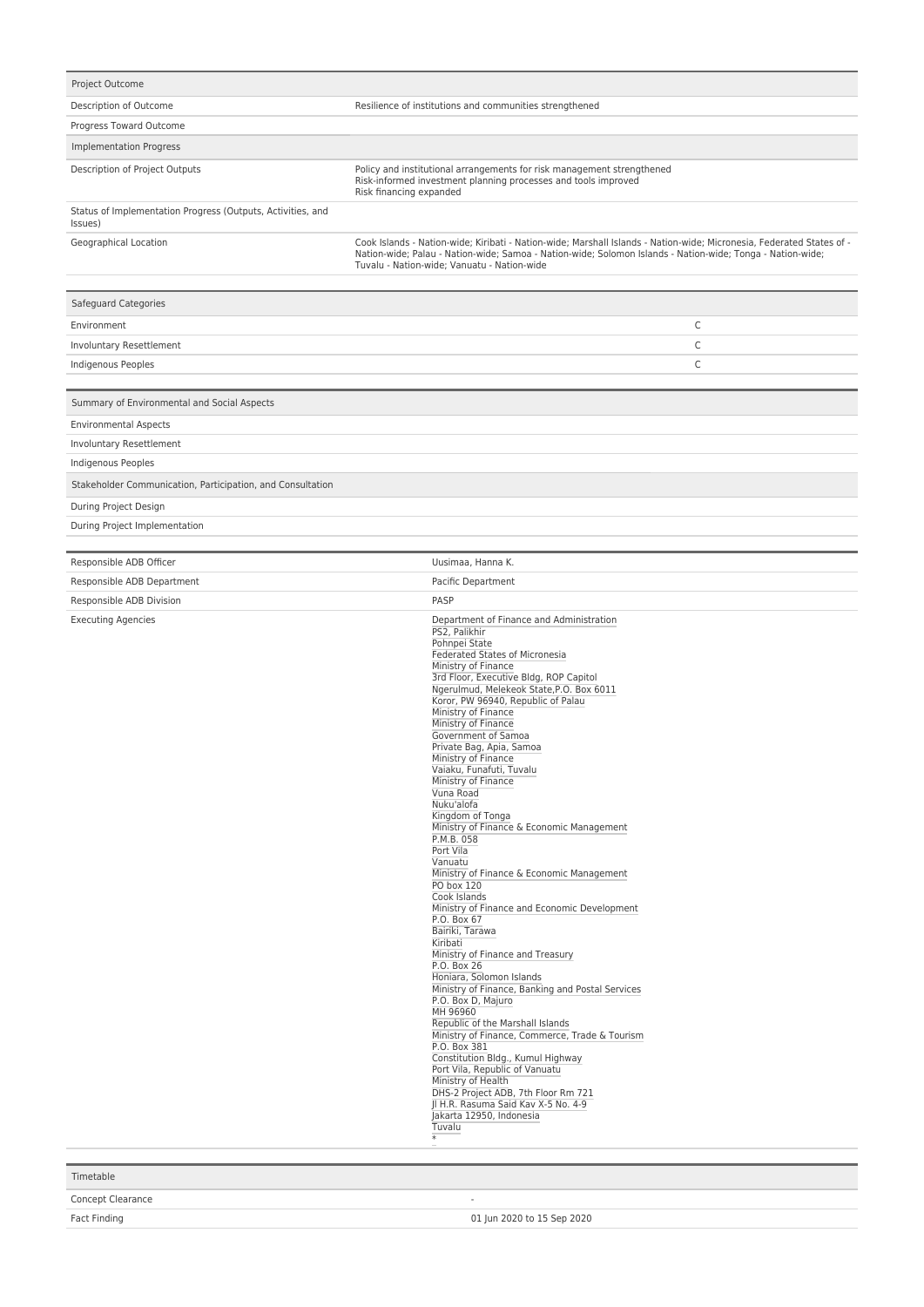| Project Outcome                                                        |                                                                                                                                                                                                                                                                                                                                                                                                                                                                                                                                                                                                                                                                                                                                                                                                                                                                                                                                                                                                                                                                                                                                                                                                                                                                        |
|------------------------------------------------------------------------|------------------------------------------------------------------------------------------------------------------------------------------------------------------------------------------------------------------------------------------------------------------------------------------------------------------------------------------------------------------------------------------------------------------------------------------------------------------------------------------------------------------------------------------------------------------------------------------------------------------------------------------------------------------------------------------------------------------------------------------------------------------------------------------------------------------------------------------------------------------------------------------------------------------------------------------------------------------------------------------------------------------------------------------------------------------------------------------------------------------------------------------------------------------------------------------------------------------------------------------------------------------------|
| Description of Outcome                                                 | Resilience of institutions and communities strengthened                                                                                                                                                                                                                                                                                                                                                                                                                                                                                                                                                                                                                                                                                                                                                                                                                                                                                                                                                                                                                                                                                                                                                                                                                |
| Progress Toward Outcome                                                |                                                                                                                                                                                                                                                                                                                                                                                                                                                                                                                                                                                                                                                                                                                                                                                                                                                                                                                                                                                                                                                                                                                                                                                                                                                                        |
| <b>Implementation Progress</b>                                         |                                                                                                                                                                                                                                                                                                                                                                                                                                                                                                                                                                                                                                                                                                                                                                                                                                                                                                                                                                                                                                                                                                                                                                                                                                                                        |
| Description of Project Outputs                                         | Policy and institutional arrangements for risk management strengthened<br>Risk-informed investment planning processes and tools improved<br>Risk financing expanded                                                                                                                                                                                                                                                                                                                                                                                                                                                                                                                                                                                                                                                                                                                                                                                                                                                                                                                                                                                                                                                                                                    |
| Status of Implementation Progress (Outputs, Activities, and<br>Issues) |                                                                                                                                                                                                                                                                                                                                                                                                                                                                                                                                                                                                                                                                                                                                                                                                                                                                                                                                                                                                                                                                                                                                                                                                                                                                        |
| Geographical Location                                                  | Cook Islands - Nation-wide; Kiribati - Nation-wide; Marshall Islands - Nation-wide; Micronesia, Federated States of -<br>Nation-wide; Palau - Nation-wide; Samoa - Nation-wide; Solomon Islands - Nation-wide; Tonga - Nation-wide;<br>Tuvalu - Nation-wide: Vanuatu - Nation-wide                                                                                                                                                                                                                                                                                                                                                                                                                                                                                                                                                                                                                                                                                                                                                                                                                                                                                                                                                                                     |
| Safeguard Categories                                                   |                                                                                                                                                                                                                                                                                                                                                                                                                                                                                                                                                                                                                                                                                                                                                                                                                                                                                                                                                                                                                                                                                                                                                                                                                                                                        |
| Environment                                                            | C                                                                                                                                                                                                                                                                                                                                                                                                                                                                                                                                                                                                                                                                                                                                                                                                                                                                                                                                                                                                                                                                                                                                                                                                                                                                      |
| Involuntary Resettlement                                               | C                                                                                                                                                                                                                                                                                                                                                                                                                                                                                                                                                                                                                                                                                                                                                                                                                                                                                                                                                                                                                                                                                                                                                                                                                                                                      |
| Indigenous Peoples                                                     | С                                                                                                                                                                                                                                                                                                                                                                                                                                                                                                                                                                                                                                                                                                                                                                                                                                                                                                                                                                                                                                                                                                                                                                                                                                                                      |
|                                                                        |                                                                                                                                                                                                                                                                                                                                                                                                                                                                                                                                                                                                                                                                                                                                                                                                                                                                                                                                                                                                                                                                                                                                                                                                                                                                        |
| Summary of Environmental and Social Aspects                            |                                                                                                                                                                                                                                                                                                                                                                                                                                                                                                                                                                                                                                                                                                                                                                                                                                                                                                                                                                                                                                                                                                                                                                                                                                                                        |
| <b>Environmental Aspects</b>                                           |                                                                                                                                                                                                                                                                                                                                                                                                                                                                                                                                                                                                                                                                                                                                                                                                                                                                                                                                                                                                                                                                                                                                                                                                                                                                        |
| <b>Involuntary Resettlement</b>                                        |                                                                                                                                                                                                                                                                                                                                                                                                                                                                                                                                                                                                                                                                                                                                                                                                                                                                                                                                                                                                                                                                                                                                                                                                                                                                        |
| Indigenous Peoples                                                     |                                                                                                                                                                                                                                                                                                                                                                                                                                                                                                                                                                                                                                                                                                                                                                                                                                                                                                                                                                                                                                                                                                                                                                                                                                                                        |
| Stakeholder Communication, Participation, and Consultation             |                                                                                                                                                                                                                                                                                                                                                                                                                                                                                                                                                                                                                                                                                                                                                                                                                                                                                                                                                                                                                                                                                                                                                                                                                                                                        |
| During Project Design                                                  |                                                                                                                                                                                                                                                                                                                                                                                                                                                                                                                                                                                                                                                                                                                                                                                                                                                                                                                                                                                                                                                                                                                                                                                                                                                                        |
| During Project Implementation                                          |                                                                                                                                                                                                                                                                                                                                                                                                                                                                                                                                                                                                                                                                                                                                                                                                                                                                                                                                                                                                                                                                                                                                                                                                                                                                        |
| Responsible ADB Officer                                                | Uusimaa, Hanna K.                                                                                                                                                                                                                                                                                                                                                                                                                                                                                                                                                                                                                                                                                                                                                                                                                                                                                                                                                                                                                                                                                                                                                                                                                                                      |
| Responsible ADB Department                                             | Pacific Department                                                                                                                                                                                                                                                                                                                                                                                                                                                                                                                                                                                                                                                                                                                                                                                                                                                                                                                                                                                                                                                                                                                                                                                                                                                     |
| Responsible ADB Division                                               | PASP                                                                                                                                                                                                                                                                                                                                                                                                                                                                                                                                                                                                                                                                                                                                                                                                                                                                                                                                                                                                                                                                                                                                                                                                                                                                   |
| <b>Executing Agencies</b>                                              | Department of Finance and Administration<br>PS2, Palikhir<br>Pohnpei State<br>Federated States of Micronesia<br>Ministry of Finance<br>3rd Floor, Executive Bldg, ROP Capitol<br>Ngerulmud, Melekeok State, P.O. Box 6011<br>Koror, PW 96940, Republic of Palau<br>Ministry of Finance<br>Ministry of Finance<br>Government of Samoa<br>Private Bag, Apia, Samoa<br>Ministry of Finance<br>Vaiaku, Funafuti, Tuvalu<br>Ministry of Finance<br>Vuna Road<br>Nuku'alofa<br>Kingdom of Tonga<br>Ministry of Finance & Economic Management<br>P.M.B. 058<br>Port Vila<br>Vanuatu<br>Ministry of Finance & Economic Management<br>PO box 120<br>Cook Islands<br>Ministry of Finance and Economic Development<br>P.O. Box 67<br>Bairiki, Tarawa<br>Kiribati<br>Ministry of Finance and Treasury<br>P.O. Box 26<br>Honiara, Solomon Islands<br>Ministry of Finance, Banking and Postal Services<br>P.O. Box D, Majuro<br>MH 96960<br>Republic of the Marshall Islands<br>Ministry of Finance, Commerce, Trade & Tourism<br>P.O. Box 381<br>Constitution Bldg., Kumul Highway<br>Port Vila, Republic of Vanuatu<br>Ministry of Health<br>DHS-2 Project ADB, 7th Floor Rm 721<br>Jl H.R. Rasuma Said Kav X-5 No. 4-9<br>Jakarta 12950, Indonesia<br>Tuvalu<br>$\overline{\ast}$ |

| Timetable         |                            |
|-------------------|----------------------------|
| Concept Clearance | -                          |
| Fact Finding      | 01 Jun 2020 to 15 Sep 2020 |